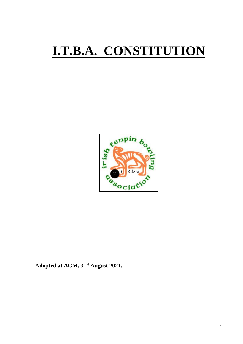# **I.T.B.A. CONSTITUTION**



**Adopted at AGM, 31st August 2021.**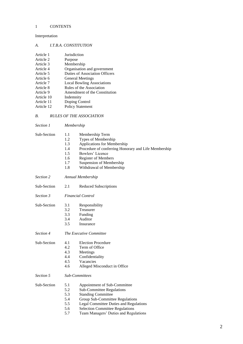# 1 CONTENTS

# Interpretation

# *A. I.T.B.A. CONSTITUTION*

| Article 1  | Jurisdiction                      |
|------------|-----------------------------------|
| Article 2  | Purpose                           |
| Article 3  | Membership                        |
| Article 4  | Organisation and government       |
| Article 5  | Duties of Association Officers    |
| Article 6  | <b>General Meetings</b>           |
| Article 7  | <b>Local Bowling Associations</b> |
| Article 8  | Rules of the Association          |
| Article 9  | Amendment of the Constitution     |
| Article 10 | Indemnity                         |
| Article 11 | Doping Control                    |
| Article 12 | <b>Policy Statement</b>           |
|            |                                   |

# *B. RULES OF THE ASSOCIATION*

| <i>Section 1</i> | Membership |
|------------------|------------|
|                  |            |

| Sub-Section | 1.1 | Membership Term                                      |
|-------------|-----|------------------------------------------------------|
|             | 1.2 | Types of Membership                                  |
|             | 1.3 | Applications for Membership                          |
|             | 1.4 | Procedure of conferring Honorary and Life Membership |
|             | 1.5 | Bowlers' Licence                                     |
|             | 1.6 | <b>Register of Members</b>                           |
|             | 1.7 | Suspension of Membership                             |
|             | 1.8 | Withdrawal of Membership                             |
| Section 2   |     | Annual Membership                                    |
| Sub-Section | 2.1 | <b>Reduced Subscriptions</b>                         |
| Section 3   |     | <b>Financial Control</b>                             |
| Sub-Section | 3.1 | Responsibility                                       |
|             | 3.2 | Treasurer                                            |
|             | 3.3 | Funding                                              |
|             | 3.4 | Auditor                                              |
|             | 3.5 | Insurance                                            |
| Section 4   |     | The Executive Committee                              |
| Sub-Section | 4.1 | <b>Election Procedure</b>                            |
|             | 4.2 | Term of Office                                       |
|             | 4.3 | Meetings                                             |
|             | 4.4 | Confidentiality                                      |
|             | 4.5 | Vacancies                                            |
|             | 4.6 | Alleged Misconduct in Office                         |
| Section 5   |     | <b>Sub-Committees</b>                                |
| Sub-Section | 5.1 | Appointment of Sub-Committee                         |
|             | 5.2 | <b>Sub-Committee Regulations</b>                     |
|             | 5.3 | <b>Standing Committee</b>                            |
|             | 5.4 | Group Sub-Committee Regulations                      |
|             | 5.5 | Legal Committee Duties and Regulations               |
|             | 5.6 | <b>Selection Committee Regulations</b>               |
|             | 5.7 | Team Managers' Duties and Regulations                |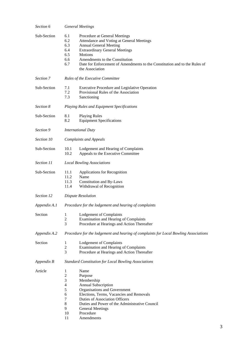| Section 6    | <b>General Meetings</b>                                                                   |                                                                                                                                                                                                                                                                                                           |  |  |
|--------------|-------------------------------------------------------------------------------------------|-----------------------------------------------------------------------------------------------------------------------------------------------------------------------------------------------------------------------------------------------------------------------------------------------------------|--|--|
| Sub-Section  | 6.1<br>6.2<br>6.3<br>6.4<br>6.5<br>6.6<br>6.7                                             | Procedure at General Meetings<br>Attendance and Voting at General Meetings<br><b>Annual General Meeting</b><br><b>Extraordinary General Meetings</b><br><b>Motions</b><br>Amendments to the Constitution<br>Date for Enforcement of Amendments to the Constitution and to the Rules of<br>the Association |  |  |
| Section 7    |                                                                                           | Rules of the Executive Committee                                                                                                                                                                                                                                                                          |  |  |
| Sub-Section  | 7.1<br>7.2<br>7.3                                                                         | <b>Executive Procedure and Legislative Operation</b><br>Provisional Rules of the Association<br>Sanctioning                                                                                                                                                                                               |  |  |
| Section 8    |                                                                                           | Playing Rules and Equipment Specifications                                                                                                                                                                                                                                                                |  |  |
| Sub-Section  | 8.1<br>8.2                                                                                | <b>Playing Rules</b><br><b>Equipment Specifications</b>                                                                                                                                                                                                                                                   |  |  |
| Section 9    |                                                                                           | <b>International Duty</b>                                                                                                                                                                                                                                                                                 |  |  |
| Section 10   |                                                                                           | <b>Complaints and Appeals</b>                                                                                                                                                                                                                                                                             |  |  |
| Sub-Section  | 10.1<br>10.2                                                                              | Lodgement and Hearing of Complaints<br>Appeals to the Executive Committee                                                                                                                                                                                                                                 |  |  |
| Section 11   |                                                                                           | <b>Local Bowling Associations</b>                                                                                                                                                                                                                                                                         |  |  |
| Sub-Section  | 11.1<br>11.2<br>11.3<br>11.4                                                              | Applications for Recognition<br>Name<br>Constitution and By-Laws<br>Withdrawal of Recognition                                                                                                                                                                                                             |  |  |
| Section 12   |                                                                                           | <b>Dispute Resolution</b>                                                                                                                                                                                                                                                                                 |  |  |
| Appendix A.1 | Procedure for the lodgement and hearing of complaints                                     |                                                                                                                                                                                                                                                                                                           |  |  |
| Section      | 1<br>2<br>3                                                                               | <b>Lodgement of Complaints</b><br>Examination and Hearing of Complaints<br>Procedure at Hearings and Action Thereafter                                                                                                                                                                                    |  |  |
| Appendix A.2 |                                                                                           | Procedure for the lodgement and hearing of complaints for Local Bowling Associations                                                                                                                                                                                                                      |  |  |
| Section      | 1<br>$\overline{c}$<br>3                                                                  | <b>Lodgement of Complaints</b><br><b>Examination and Hearing of Complaints</b><br>Procedure at Hearings and Action Thereafter                                                                                                                                                                             |  |  |
| Appendix B   | <b>Standard Constitution for Local Bowling Associations</b>                               |                                                                                                                                                                                                                                                                                                           |  |  |
| Article      | 1<br>$\overline{c}$<br>3<br>$\overline{\mathcal{L}}$<br>5<br>6<br>7<br>8<br>9<br>10<br>11 | Name<br>Purpose<br>Membership<br>Annual Subscription<br>Organisations and Government<br>Elections, Terms, Vacancies and Removals<br><b>Duties of Association Officers</b><br>Duties and Power of the Administrative Council<br><b>General Meetings</b><br>Procedure<br>Amendments                         |  |  |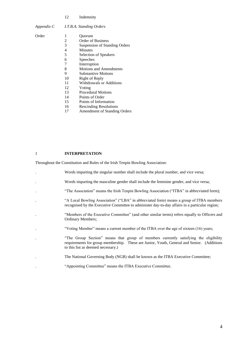#### 12 Indemnity

# *Appendix C I.T.B.A. Standing Orders*

- Order 1 Quorum<br>
2 Order of 2 Order of Business<br>3 Suspension of Star 3 Suspension of Standing Orders 4 Minutes<br>5 Selection 5 Selection of Speakers 6 Speeches<br>7 Interruptie 7 Interruption<br>8 Motions and Motions and Amendments 9 Substantive Motions<br>10 Right of Reply 10 Right of Reply<br>11 Withdrawals or 11 Withdrawals or Additions<br>12 Voting 12 Voting<br>13 Procedu 13 Procedural Motions<br>14 Points of Order Points of Order 15 Points of Information
	- 16 Rescinding Resolutions 17 Amendment of Standing Orders

1 **INTERPRETATION**

Throughout the Constitution and Rules of the Irish Tenpin Bowling Association:

| $\bullet$            | Words imparting the singular number shall include the plural number, and vice versa;                                                                                                                                     |
|----------------------|--------------------------------------------------------------------------------------------------------------------------------------------------------------------------------------------------------------------------|
| $\bullet$            | Words imparting the masculine gender shall include the feminine gender, and vice versa;                                                                                                                                  |
| $\ddot{\phantom{a}}$ | "The Association" means the Irish Tenpin Bowling Association ("ITBA" in abbreviated form);                                                                                                                               |
| $\bullet$            | "A Local Bowling Association" ("LBA" in abbreviated form) means a group of ITBA members<br>recognised by the Executive Committee to administer day-to-day affairs in a particular region;                                |
| $\bullet$            | "Members of the Executive Committee" (and other similar terms) refers equally to Officers and<br><b>Ordinary Members;</b>                                                                                                |
| $\ddot{\phantom{0}}$ | "Voting Member" means a current member of the ITBA over the age of sixteen (16) years;                                                                                                                                   |
| $\bullet$            | "The Group Section" means that group of members currently satisfying the eligibility<br>requirements for group membership. These are Junior, Youth, General and Senior. (Additions<br>to this list as deemed necessary.) |
|                      | The National Governing Body (NGB) shall be known as the ITBA Executive Committee;                                                                                                                                        |
|                      | "Appointing Committee" means the ITBA Executive Committee.                                                                                                                                                               |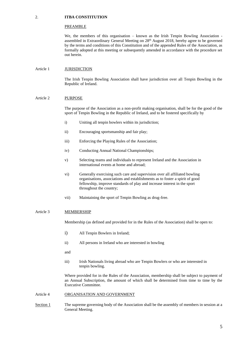#### 2. **ITBA CONSTITUTION**

#### PREAMBLE

We, the members of this organisation – known as the Irish Tenpin Bowling Association assembled in Extraordinary General Meeting on 28th August 2018, hereby agree to be governed by the terms and conditions of this Constitution and of the appended Rules of the Association, as formally adopted at this meeting or subsequently amended in accordance with the procedure set out herein.

#### Article 1 **JURISDICTION**

The Irish Tenpin Bowling Association shall have jurisdiction over all Tenpin Bowling in the Republic of Ireland.

#### Article 2 PURPOSE

The purpose of the Association as a non-profit making organisation, shall be for the good of the sport of Tenpin Bowling in the Republic of Ireland, and to be fostered specifically by

- i) Uniting all tenpin bowlers within its jurisdiction;
- ii) Encouraging sportsmanship and fair play;
- iii) Enforcing the Playing Rules of the Association;
- iv) Conducting Annual National Championships;
- v) Selecting teams and individuals to represent Ireland and the Association in international events at home and abroad;
- vi) Generally exercising such care and supervision over all affiliated bowling organisations, associations and establishments as to foster a spirit of good fellowship, improve standards of play and increase interest in the sport throughout the country;
- vii) Maintaining the sport of Tenpin Bowling as drug-free.

#### Article 3 MEMBERSHIP

Membership (as defined and provided for in the Rules of the Association) shall be open to:

- i) All Tenpin Bowlers in Ireland;
- ii) All persons in Ireland who are interested in bowling
- and
- iii) Irish Nationals living abroad who are Tenpin Bowlers or who are interested in tenpin bowling.

Where provided for in the Rules of the Association, membership shall be subject to payment of an Annual Subscription, the amount of which shall be determined from time to time by the Executive Committee.

#### Article 4 ORGANISATION AND GOVERNMENT

Section 1 The supreme governing body of the Association shall be the assembly of members in session at a General Meeting.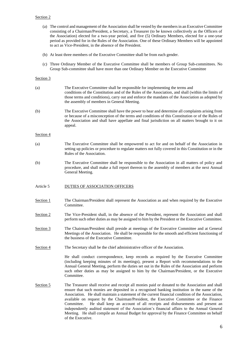#### Section 2

- (a) The control and management of the Association shall be vested by the members in an Executive Committee consisting of a Chairman/President, a Secretary, a Treasurer (to be known collectively as the Officers of the Association) elected for a two-year period, and five (5) Ordinary Members, elected for a one-year period as provided for in the Rules of the Association. One of these Ordinary Members will be appointed to act as Vice-President, in the absence of the President.
- (b) At least three members of the Executive Committee shall be from each gender.
- (c) Three Ordinary Member of the Executive Committee shall be members of Group Sub-committees. No Group Sub-committee shall have more than one Ordinary Member on the Executive Committee

#### Section 3

| (a)       | The Executive Committee shall be responsible for implementing the terms and<br>conditions of the Constitution and of the Rules of the Association, and shall (within the limits of<br>those terms and conditions), carry out and enforce the mandates of the Association as adopted by<br>the assembly of members in General Meeting.                                                                                                                                                                                                                                                                                                                                                                        |  |  |
|-----------|--------------------------------------------------------------------------------------------------------------------------------------------------------------------------------------------------------------------------------------------------------------------------------------------------------------------------------------------------------------------------------------------------------------------------------------------------------------------------------------------------------------------------------------------------------------------------------------------------------------------------------------------------------------------------------------------------------------|--|--|
| (b)       | The Executive Committee shall have the power to hear and determine all complaints arising from<br>or because of a misconception of the terms and conditions of this Constitution or of the Rules of<br>the Association and shall have appellate and final jurisdiction on all matters brought to it on<br>appeal.                                                                                                                                                                                                                                                                                                                                                                                            |  |  |
| Section 4 |                                                                                                                                                                                                                                                                                                                                                                                                                                                                                                                                                                                                                                                                                                              |  |  |
| (a)       | The Executive Committee shall be empowered to act for and on behalf of the Association in<br>setting up policies or procedure to regulate matters not fully covered in this Constitution or in the<br>Rules of the Association.                                                                                                                                                                                                                                                                                                                                                                                                                                                                              |  |  |
| (b)       | The Executive Committee shall be responsible to the Association in all matters of policy and<br>procedure, and shall make a full report thereon to the assembly of members at the next Annual<br>General Meeting.                                                                                                                                                                                                                                                                                                                                                                                                                                                                                            |  |  |
| Article 5 | <b>DUTIES OF ASSOCIATION OFFICERS</b>                                                                                                                                                                                                                                                                                                                                                                                                                                                                                                                                                                                                                                                                        |  |  |
| Section 1 | The Chairman/President shall represent the Association as and when required by the Executive<br>Committee.                                                                                                                                                                                                                                                                                                                                                                                                                                                                                                                                                                                                   |  |  |
| Section 2 | The Vice-President shall, in the absence of the President, represent the Association and shall<br>perform such other duties as may be assigned to him by the President or the Executive Committee.                                                                                                                                                                                                                                                                                                                                                                                                                                                                                                           |  |  |
| Section 3 | The Chairman/President shall preside at meetings of the Executive Committee and at General<br>Meetings of the Association. He shall be responsible for the smooth and efficient functioning of<br>the business of the Executive Committee.                                                                                                                                                                                                                                                                                                                                                                                                                                                                   |  |  |
| Section 4 | The Secretary shall be the chief administrative officer of the Association.                                                                                                                                                                                                                                                                                                                                                                                                                                                                                                                                                                                                                                  |  |  |
|           | He shall conduct correspondence, keep records as required by the Executive Committee<br>(including keeping minutes of its meetings), present a Report with recommendations to the<br>Annual General Meeting, perform the duties set out in the Rules of the Association and perform<br>such other duties as may be assigned to him by the Chairman/President, or the Executive<br>Committee.                                                                                                                                                                                                                                                                                                                 |  |  |
| Section 5 | The Treasurer shall receive and receipt all monies paid or donated to the Association and shall<br>ensure that such monies are deposited in a recognised banking institution in the name of the<br>Association. He shall maintain a statement of the current financial condition of the Association,<br>available on request by the Chairman/President, the Executive Committee or the Finance<br>He shall keep an account of all receipts and disbursements and present an<br>Committee.<br>independently audited statement of the Association's financial affairs to the Annual General<br>Meeting. He shall compile an Annual Budget for approval by the Finance Committee on behalf<br>of the Executive. |  |  |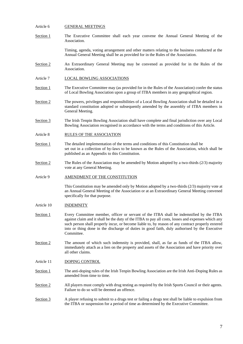#### Article 6 GENERAL MEETINGS

Section 1 The Executive Committee shall each year convene the Annual General Meeting of the Association.

> Timing, agenda, voting arrangement and other matters relating to the business conducted at the Annual General Meeting shall be as provided for in the Rules of the Association.

- Section 2 **An Extraordinary General Meeting may be convened as provided for in the Rules of the** Association.
- Article 7 LOCAL BOWLING ASSOCIATIONS
- Section 1 The Executive Committee may (as provided for in the Rules of the Association) confer the status of Local Bowling Association upon a group of ITBA members in any geographical region.
- Section 2 The powers, privileges and responsibilities of a Local Bowling Association shall be detailed in a standard constitution adopted or subsequently amended by the assembly of ITBA members in General Meeting.
- Section 3 The Irish Tenpin Bowling Association shall have complete and final jurisdiction over any Local Bowling Association recognised in accordance with the terms and conditions of this Article.
- Article 8 RULES OF THE ASSOCIATION
- Section 1 The detailed implementation of the terms and conditions of this Constitution shall be set out in a collection of by-laws to be known as the Rules of the Association, which shall be published as an Appendix to this Constitution.
- Section 2 The Rules of the Association may be amended by Motion adopted by a two-thirds (2/3) majority vote at any General Meeting.

#### Article 9 AMENDMENT OF THE CONSTITUTION

This Constitution may be amended only by Motion adopted by a two-thirds (2/3) majority vote at an Annual General Meeting of the Association or at an Extraordinary General Meeting convened specifically for that purpose.

- Article 10 INDEMNITY
- Section 1 Every Committee member, officer or servant of the ITBA shall be indemnified by the ITBA against claim and it shall be the duty of the ITBA to pay all costs, losses and expenses which any such person shall properly incur, or become liable to, by reason of any contract properly entered into or thing done in the discharge of duties in good faith, duly authorised by the Executive Committee.
- Section 2 The amount of which such indemnity is provided, shall, as far as funds of the ITBA allow, immediately attach as a lien on the property and assets of the Association and have priority over all other claims.
- Article 11 DOPING CONTROL
- Section 1 The anti-doping rules of the Irish Tenpin Bowling Association are the Irish Anti-Doping Rules as amended from time to time.
- Section 2 All players must comply with drug testing as required by the Irish Sports Council or their agents. Failure to do so will be deemed an offence.
- Section 3 A player refusing to submit to a drugs test or failing a drugs test shall be liable to expulsion from the ITBA or suspension for a period of time as determined by the Executive Committee.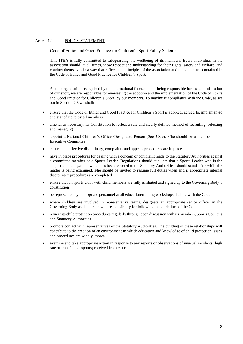#### Article 12 POLICY STATEMENT

Code of Ethics and Good Practice for Children's Sport Policy Statement

This ITBA is fully committed to safeguarding the wellbeing of its members. Every individual in the association should, at all times, show respect and understanding for their rights, safety and welfare, and conduct themselves in a way that reflects the principles of the association and the guidelines contained in the Code of Ethics and Good Practice for Children's Sport.

As the organisation recognised by the international federation, as being responsible for the administration of our sport, we are responsible for overseeing the adoption and the implementation of the Code of Ethics and Good Practice for Children's Sport, by our members. To maximise compliance with the Code, as set out in Section 2.6 we shall:

- ensure that the Code of Ethics and Good Practice for Children's Sport is adopted, agreed to, implemented and signed up to by all members
- amend, as necessary, its Constitution to reflect a safe and clearly defined method of recruiting, selecting and managing
- appoint a National Children's Officer/Designated Person (See 2.8/9). S/he should be a member of the Executive Committee
- ensure that effective disciplinary, complaints and appeals procedures are in place
- have in place procedures for dealing with a concern or complaint made to the Statutory Authorities against a committee member or a Sports Leader. Regulations should stipulate that a Sports Leader who is the subject of an allegation, which has been reported to the Statutory Authorities, should stand aside while the matter is being examined. s/he should be invited to resume full duties when and if appropriate internal disciplinary procedures are completed
- ensure that all sports clubs with child members are fully affiliated and signed up to the Governing Body's constitution
- be represented by appropriate personnel at all education/training workshops dealing with the Code
- where children are involved in representative teams, designate an appropriate senior officer in the Governing Body as the person with responsibility for following the guidelines of the Code
- review its child protection procedures regularly through open discussion with its members, Sports Councils and Statutory Authorities
- promote contact with representatives of the Statutory Authorities. The building of these relationships will contribute to the creation of an environment in which education and knowledge of child protection issues and procedures are widely known
- examine and take appropriate action in response to any reports or observations of unusual incidents (high rate of transfers, dropouts) received from clubs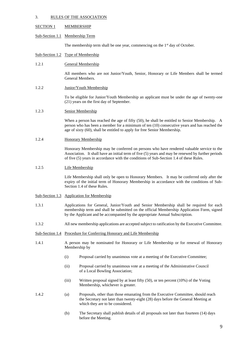#### 3. RULES OF THE ASSOCIATION

#### SECTION 1 MEMBERSHIP

#### Sub-Section 1.1 Membership Term

The membership term shall be one year, commencing on the  $1<sup>st</sup>$  day of October.

#### Sub-Section 1.2 Type of Membership

#### 1.2.1 General Membership

All members who are not Junior/Youth, Senior, Honorary or Life Members shall be termed General Members.

#### 1.2.2 Junior/Youth Membership

To be eligible for Junior/Youth Membership an applicant must be under the age of twenty-one (21) years on the first day of September.

#### 1.2.3 Senior Membership

When a person has reached the age of fifty (50), he shall be entitled to Senior Membership. A person who has been a member for a minimum of ten (10) consecutive years and has reached the age of sixty (60), shall be entitled to apply for free Senior Membership.

#### 1.2.4 Honorary Membership

Honorary Membership may be conferred on persons who have rendered valuable service to the Association. It shall have an initial term of five (5) years and may be renewed by further periods of five (5) years in accordance with the conditions of Sub-Section 1.4 of these Rules.

#### 1.2.5 Life Membership

Life Membership shall only be open to Honorary Members. It may be conferred only after the expiry of the initial term of Honorary Membership in accordance with the conditions of Sub-Section 1.4 of these Rules.

### Sub-Section 1.3 Application for Membership

- 1.3.1 Applications for General, Junior/Youth and Senior Membership shall be required for each membership term and shall be submitted on the official Membership Application Form, signed by the Applicant and be accompanied by the appropriate Annual Subscription.
- 1.3.2 All new membership applications are accepted subject to ratification by the Executive Committee.
- Sub-Section 1.4 Procedure for Conferring Honorary and Life Membership
- 1.4.1 A person may be nominated for Honorary or Life Membership or for renewal of Honorary Membership by
	- (i) Proposal carried by unanimous vote at a meeting of the Executive Committee;
	- (ii) Proposal carried by unanimous vote at a meeting of the Administrative Council of a Local Bowling Association;
	- (iii) Written proposal signed by at least fifty (50), or ten percent (10%) of the Voting Membership, whichever is greater.
- 1.4.2 (a) Proposals, other than those emanating from the Executive Committee, should reach the Secretary not later than twenty-eight (28) days before the General Meeting at which they are to be considered.
	- (b) The Secretary shall publish details of all proposals not later than fourteen (14) days before the Meeting.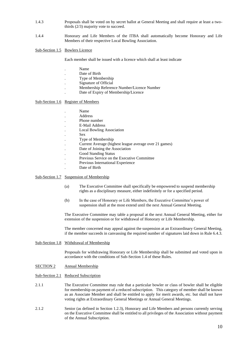- 1.4.3 Proposals shall be voted on by secret ballot at General Meeting and shall require at least a twothirds (2/3) majority vote to succeed.
- 1.4.4 Honorary and Life Members of the ITBA shall automatically become Honorary and Life Members of their respective Local Bowling Association.

Sub-Section 1.5 Bowlers Licence

Each member shall be issued with a licence which shall at least indicate

- . Name
- Date of Birth
- . Type of Membership
- . Signature of Official
- . Membership Reference Number/Licence Number
- . Date of Expiry of Membership/Licence

Sub-Section 1.6 Register of Members

| Name                                                   |
|--------------------------------------------------------|
| Address                                                |
| Phone number                                           |
| E-Mail Address                                         |
| <b>Local Bowling Association</b>                       |
| <b>Sex</b>                                             |
| Type of Membership                                     |
| Current Average (highest league average over 21 games) |
| Date of Joining the Association                        |
| <b>Good Standing Status</b>                            |
| Previous Service on the Executive Committee            |
| Previous International Experience                      |
| Date of Birth                                          |

#### Sub-Section 1.7 Suspension of Membership

- (a) The Executive Committee shall specifically be empowered to suspend membership rights as a disciplinary measure, either indefinitely or for a specified period.
- (b) In the case of Honorary or Life Members, the Executive Committee's power of suspension shall at the most extend until the next Annual General Meeting.

The Executive Committee may table a proposal at the next Annual General Meeting, either for extension of the suspension or for withdrawal of Honorary or Life Membership.

The member concerned may appeal against the suspension at an Extraordinary General Meeting, if the member succeeds in canvassing the required number of signatures laid down in Rule 6.4.3.

Sub-Section 1.8 Withdrawal of Membership

Proposals for withdrawing Honorary or Life Membership shall be submitted and voted upon in accordance with the conditions of Sub-Section 1.4 of these Rules.

SECTION 2 Annual Membership

Sub-Section 2.1 Reduced Subscription

- 2.1.1 The Executive Committee may rule that a particular bowler or class of bowler shall be eligible for membership on payment of a reduced subscription. This category of member shall be known as an Associate Member and shall be entitled to apply for merit awards, etc. but shall not have voting rights at Extraordinary General Meetings or Annual General Meetings.
- 2.1.2 Senior (as defined in Section 1.2.3), Honorary and Life Members and persons currently serving on the Executive Committee shall be entitled to all privileges of the Association without payment of the Annual Subscription.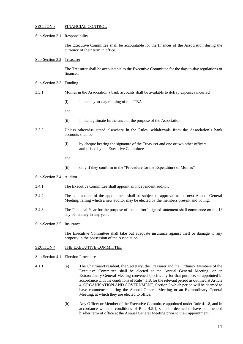#### SECTION 3 FINANCIAL CONTROL

#### Sub-Section 3.1 Responsibility

The Executive Committee shall be accountable for the finances of the Association during the currency of their term in office.

Sub-Section 3.2 Treasurer

The Treasurer shall be accountable to the Executive Committee for the day-to-day regulations of finances.

#### Sub-Section 3.3 Funding

- 3.3.1 Monies in the Association's bank accounts shall be available to defray expenses incurred
	- (i) in the day-to-day running of the ITBA

and

- (ii) in the legitimate furtherance of the purpose of the Association.
- 3.3.2 Unless otherwise stated elsewhere in the Rules, withdrawals from the Association's bank accounts shall be:
	- (i) by cheque bearing the signature of the Treasurer and one or two other officers authorised by the Executive Committee
	- and
	- (ii) only if they conform to the "Procedure for the Expenditure of Monies".

#### Sub-Section 3.4 Auditor

- 3.4.1 The Executive Committee shall appoint an independent auditor.
- 3.4.2 The continuance of the appointment shall be subject to approval at the next Annual General Meeting, failing which a new auditor may be elected by the members present and voting.
- 3.4.3 The Financial Year for the purpose of the auditor's signed statement shall commence on the 1st day of January in any year.
- Sub-Section 3.5 Insurance

The Executive Committee shall take out adequate insurance against theft or damage to any property in the possession of the Association.

#### SECTION 4 THE EXECUTIVE COMMITTEE

- Sub-Section 4.1 Election Procedure
- 4.1.1 (a) The Chairman/President, the Secretary, the Treasurer and the Ordinary Members of the Executive Committee shall be elected at the Annual General Meeting, or an Extraordinary General Meeting convened specifically for that purpose, or appointed in accordance with the conditions of Rule 4.1.8, for the relevant period as outlined at Article 4, ORGANISATION AND GOVERNMENT, Section 2 which period will be deemed to have commenced during the Annual General Meeting or an Extraordinary General Meeting, at which they are elected to office.
	- (b) Any Officer or Member of the Executive Committee appointed under Rule 4.1.8, and in accordance with the conditions of Rule 4.5.1, shall be deemed to have commenced his/her term of office at the Annual General Meeting prior to their appointment.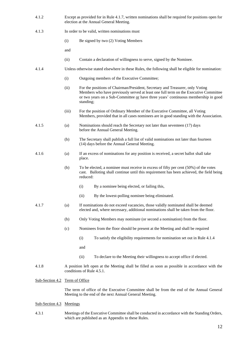4.1.2 Except as provided for in Rule 4.1.7, written nominations shall be required for positions open for election at the Annual General Meeting. 4.1.3 In order to be valid, written nominations must (i) Be signed by two (2) Voting Members and (ii) Contain a declaration of willingness to serve, signed by the Nominee. 4.1.4 Unless otherwise stated elsewhere in these Rules, the following shall be eligible for nomination: (i) Outgoing members of the Executive Committee; (ii) For the positions of Chairman/President, Secretary and Treasurer, only Voting Members who have previously served at least one full term on the Executive Committee or two years on a Sub-Committee or have three years' continuous membership in good standing; (iii) For the position of Ordinary Member of the Executive Committee, all Voting Members, provided that in all cases nominees are in good standing with the Association. 4.1.5 (a) Nominations should reach the Secretary not later than seventeen (17) days before the Annual General Meeting. (b) The Secretary shall publish a full list of valid nominations not later than fourteen (14) days before the Annual General Meeting. 4.1.6 (a) If an excess of nominations for any position is received, a secret ballot shall take place. (b) To be elected, a nominee must receive in excess of fifty per cent (50%) of the votes cast. Balloting shall continue until this requirement has been achieved, the field being reduced: (i) By a nominee being elected, or failing this, (ii) By the lowest-polling nominee being eliminated. 4.1.7 (a) If nominations do not exceed vacancies, those validly nominated shall be deemed elected and, where necessary, additional nominations shall be taken from the floor. (b) Only Voting Members may nominate (or second a nomination) from the floor. (c) Nominees from the floor should be present at the Meeting and shall be required (i) To satisfy the eligibility requirements for nomination set out in Rule 4.1.4 and (ii) To declare to the Meeting their willingness to accept office if elected. 4.1.8 A position left open at the Meeting shall be filled as soon as possible in accordance with the conditions of Rule 4.5.1. Sub-Section 4.2 Term of Office The term of office of the Executive Committee shall be from the end of the Annual General Meeting to the end of the next Annual General Meeting.

#### Sub-Section 4.3 Meetings

4.3.1 Meetings of the Executive Committee shall be conducted in accordance with the Standing Orders, which are published as an Appendix to these Rules.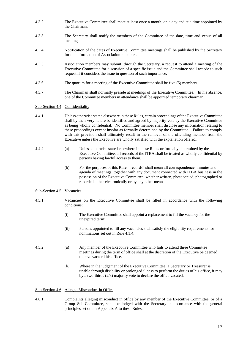- 4.3.2 The Executive Committee shall meet at least once a month, on a day and at a time appointed by the Chairman.
- 4.3.3 The Secretary shall notify the members of the Committee of the date, time and venue of all meetings.
- 4.3.4 Notification of the dates of Executive Committee meetings shall be published by the Secretary for the information of Association members.
- 4.3.5 Association members may submit, through the Secretary, a request to attend a meeting of the Executive Committee for discussion of a specific issue and the Committee shall accede to such request if it considers the issue in question of such importance.
- 4.3.6 The quorum for a meeting of the Executive Committee shall be five (5) members.
- 4.3.7 The Chairman shall normally preside at meetings of the Executive Committee. In his absence, one of the Committee members in attendance shall be appointed temporary chairman.

#### Sub-Section 4.4 Confidentiality

- 4.4.1 Unless otherwise stated elsewhere in these Rules, certain proceedings of the Executive Committee shall by their very nature be identified and agreed by majority vote by the Executive Committee as being wholly confidential. No Committee member shall disclose any information relating to these proceedings except insofar as formally determined by the Committee. Failure to comply with this provision shall ultimately result in the removal of the offending member from the Executive unless the Executive are wholly satisfied with the explanation offered.
- 4.4.2 (a) Unless otherwise stated elsewhere in these Rules or formally determined by the Executive Committee, all records of the ITBA shall be treated as wholly confidential by persons having lawful access to them.
	- (b) For the purposes of this Rule, "records" shall mean all correspondence, minutes and agenda of meetings, together with any document connected with ITBA business in the possession of the Executive Committee, whether written, photocopied, photographed or recorded either electronically or by any other means.

#### Sub-Section 4.5 Vacancies

- 4.5.1 Vacancies on the Executive Committee shall be filled in accordance with the following conditions:
	- (i) The Executive Committee shall appoint a replacement to fill the vacancy for the unexpired term;
	- (ii) Persons appointed to fill any vacancies shall satisfy the eligibility requirements for nominations set out in Rule 4.1.4.
- 4.5.2 (a) Any member of the Executive Committee who fails to attend three Committee meetings during the term of office shall at the discretion of the Executive be deemed to have vacated his office.
	- (b) Where in the judgement of the Executive Committee, a Secretary or Treasurer is unable through disability or prolonged illness to perform the duties of his office, it may by a two-thirds (2/3) majority vote to declare the office vacated.

#### Sub-Section 4.6 Alleged Misconduct in Office

4.6.1 Complaints alleging misconduct in office by any member of the Executive Committee, or of a Group Sub-Committee, shall be lodged with the Secretary in accordance with the general principles set out in Appendix A to these Rules.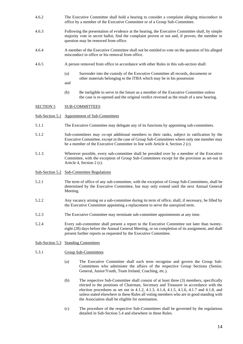- 4.6.2 The Executive Committee shall hold a hearing to consider a complaint alleging misconduct in office by a member of the Executive Committee or of a Group Sub-Committee.
- 4.6.3 Following the presentation of evidence at the hearing, the Executive Committee shall, by simple majority vote in secret ballot, find the complaint proven or not and, if proven, the member in question may be removed from office.
- 4.6.4 A member of the Executive Committee shall not be entitled to vote on the question of his alleged misconduct in office or his removal from office.
- 4.6.5 A person removed from office in accordance with other Rules in this sub-section shall:
	- (a) Surrender into the custody of the Executive Committee all records, documents or other materials belonging to the ITBA which may be in his possession
	- and
	- (b) Be ineligible to serve in the future as a member of the Executive Committee unless the case is re-opened and the original verdict reversed as the result of a new hearing.

#### SECTION 5 SUB-COMMITTEES

- Sub-Section 5.1 Appointment of Sub-Committees
- 5.1.1 The Executive Committee may delegate any of its functions by appointing sub-committees.
- 5.1.2 Sub-committees may co-opt additional members to their ranks, subject to ratification by the Executive Committee, except in the case of Group Sub-Committees where only one member may be a member of the Executive Committee in line with Article 4, Section 2 (c).
- 5.1.3 Wherever possible, every sub-committee shall be presided over by a member of the Executive Committee, with the exception of Group Sub-Committees except for the provision as set-out in Article 4, Section 2 (c).
- Sub-Section 5.2 Sub-Committee Regulations
- 5.2.1 The term of office of any sub-committee, with the exception of Group Sub-Committees, shall be determined by the Executive Committee, but may only extend until the next Annual General Meeting.
- 5.2.2 Any vacancy arising on a sub-committee during its term of office, shall, if necessary, be filled by the Executive Committee appointing a replacement to serve the unexpired term.
- 5.2.3 The Executive Committee may terminate sub-committee appointments at any time.
- 5.2.4 Every sub-committee shall present a report to the Executive Committee not later than twentyeight (28) days before the Annual General Meeting, or on completion of its assignment, and shall present further reports as requested by the Executive Committee.
- Sub-Section 5.3 Standing Committees
- 5.3.1 Group Sub-Committees
	- (a) The Executive Committee shall each term recognise and govern the Group Sub-Committees who administer the affairs of the respective Group Sections (Senior, General, Junior/Youth, Team Ireland, Coaching, etc.).
	- (b) The respective Sub-Committee shall consist of at least three (3) members, specifically elected to the positions of Chairman, Secretary and Treasurer in accordance with the election procedures as set out in 4.1.2, 4.1.3, 4.1.4, 4.1.5, 4.1.6, 4.1.7 and 4.1.8, and unless stated elsewhere in these Rules all voting members who are in good standing with the Association shall be eligible for nomination.
	- (c) The procedure of the respective Sub-Committees shall be governed by the regulations detailed in Sub-Section 5.4 and elsewhere in these Rules.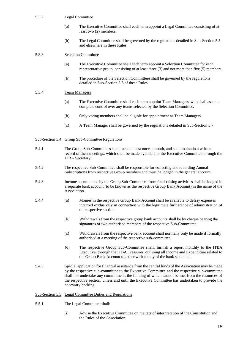#### 5.3.2 Legal Committee

- (a) The Executive Committee shall each term appoint a Legal Committee consisting of at least two (2) members.
- (b) The Legal Committee shall be governed by the regulations detailed in Sub-Section 5.5 and elsewhere in these Rules.

#### 5.3.3 Selection Committee

- (a) The Executive Committee shall each term appoint a Selection Committee for each representative group, consisting of at least three (3) and not more than five (5) members.
- (b) The procedure of the Selection Committees shall be governed by the regulations detailed in Sub-Section 5.6 of these Rules.

#### 5.3.4 Team Managers

- (a) The Executive Committee shall each term appoint Team Managers, who shall assume complete control over any teams selected by the Selection Committee.
- (b) Only voting members shall be eligible for appointment as Team Managers.
- (c) A Team Manager shall be governed by the regulations detailed in Sub-Section 5.7.

#### Sub-Section 5.4 Group Sub-Committee Regulations

- 5.4.1 The Group Sub-Committees shall meet at least once a month, and shall maintain a written record of their meetings, which shall be made available to the Executive Committee through the ITBA Secretary.
- 5.4.2 The respective Sub-Committee shall be responsible for collecting and recording Annual Subscriptions from respective Group members and must be lodged in the general account.
- 5.4.3 Income accumulated by the Group Sub-Committee from fund-raising activities shall be lodged in a separate bank account (to be known as the respective Group Bank Account) in the name of the Association.
- 5.4.4 (a) Monies in the respective Group Bank Account shall be available to defray expenses incurred exclusively in connection with the legitimate furtherance of administration of the respective section.
	- (b) Withdrawals from the respective group bank accounts shall be by cheque bearing the signatures of two authorised members of the respective Sub-Committee.
	- (c) Withdrawals from the respective bank account shall normally only be made if formally authorised at a meeting of the respective sub-committee.
	- (d) The respective Group Sub-Committee shall, furnish a report monthly to the ITBA Executive, through the ITBA Treasurer, outlining all Income and Expenditure related to the Group Bank Account together with a copy of the bank statement.
- 5.4.5 Special application for financial assistance from the central funds of the Association may be made by the respective sub-committee to the Executive Committee and the respective sub-committee shall not undertake any commitment, the funding of which cannot be met from the resources of the respective section, unless and until the Executive Committee has undertaken to provide the necessary backing.

#### Sub-Section 5.5 Legal Committee Duties and Regulations

- 5.5.1 The Legal Committee shall:
	- (i) Advise the Executive Committee on matters of interpretation of the Constitution and the Rules of the Association;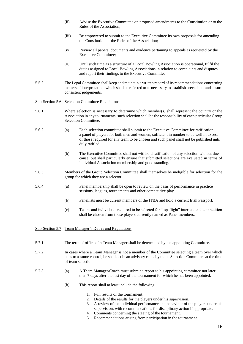- (ii) Advise the Executive Committee on proposed amendments to the Constitution or to the Rules of the Association;
- (iii) Be empowered to submit to the Executive Committee its own proposals for amending the Constitution or the Rules of the Association;
- (iv) Review all papers, documents and evidence pertaining to appeals as requested by the Executive Committee;
- (v) Until such time as a structure of a Local Bowling Association is operational, fulfil the duties assigned to Local Bowling Associations in relation to complaints and disputes and report their findings to the Executive Committee.
- 5.5.2 The Legal Committee shall keep and maintain a written record of its recommendations concerning matters of interpretation, which shall be referred to as necessary to establish precedents and ensure consistent judgements.

Sub-Section 5.6 Selection Committee Regulations

- 5.6.1 Where selection is necessary to determine which member(s) shall represent the country or the Association in any tournaments, such selection shall be the responsibility of each particular Group Selection Committee.
- 5.6.2 (a) Each selection committee shall submit to the Executive Committee for ratification a panel of players for both men and women, sufficient in number to be well in excess of those required for any team to be chosen and such panel shall not be published until duly ratified.
	- (b) The Executive Committee shall not withhold ratification of any selection without due cause, but shall particularly ensure that submitted selections are evaluated in terms of individual Association membership and good standing.
- 5.6.3 Members of the Group Selection Committee shall themselves be ineligible for selection for the group for which they are a selector.
- 5.6.4 (a) Panel membership shall be open to review on the basis of performance in practice sessions, leagues, tournaments and other competitive play.
	- (b) Panellists must be current members of the ITBA and hold a current Irish Passport.
	- (c) Teams and individuals required to be selected for "top-flight" international competition shall be chosen from those players currently named as Panel members.

Sub-Section 5.7 Team Manager's Duties and Regulations

- 5.7.1 The term of office of a Team Manager shall be determined by the appointing Committee.
- 5.7.2 In cases where a Team Manager is not a member of the Committee selecting a team over which he is to assume control, he shall act in an advisory capacity to the Selection Committee at the time of team selection.
- 5.7.3 (a) A Team Manager/Coach must submit a report to his appointing committee not later than 7 days after the last day of the tournament for which he has been appointed.
	- (b) This report shall at least include the following:
		- 1. Full results of the tournament.
		- 2. Details of the results for the players under his supervision.
		- 3. A review of the individual performance and behaviour of the players under his supervision, with recommendations for disciplinary action if appropriate.
		- 4. Comments concerning the staging of the tournament.
		- 5. Recommendations arising from participation in the tournament.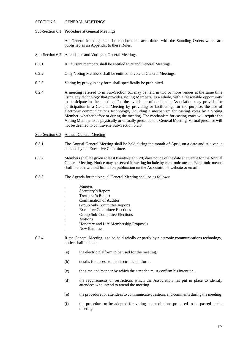#### SECTION 6 GENERAL MEETINGS

#### Sub-Section 6.1 Procedure at General Meetings

All General Meetings shall be conducted in accordance with the Standing Orders which are published as an Appendix to these Rules.

#### Sub-Section 6.2 Attendance and Voting at General Meetings

- 6.2.1 All current members shall be entitled to attend General Meetings.
- 6.2.2 Only Voting Members shall be entitled to vote at General Meetings.
- 6.2.3 Voting by proxy in any form shall specifically be prohibited.
- 6.2.4 A meeting referred to in Sub-Section 6.1 may be held in two or more venues at the same time using any technology that provides Voting Members, as a whole, with a reasonable opportunity to participate in the meeting. For the avoidance of doubt, the Association may provide for participation in a General Meeting by providing or facilitating, for the purpose, the use of electronic communications technology, including a mechanism for casting votes by a Voting Member, whether before or during the meeting. The mechanism for casting votes will require the Voting Member to be physically or virtually present at the General Meeting. Virtual presence will not be deemed to contravene Sub-Section 6.2.3
- Sub-Section 6.3 Annual General Meeting
- 6.3.1 The Annual General Meeting shall be held during the month of April, on a date and at a venue decided by the Executive Committee.
- 6.3.2 Members shall be given at least twenty-eight (28) days notice of the date and venue for the Annual General Meeting. Notice may be served in writing include by electronic means. Electronic means shall include without limitation publication on the Association's website or email.
- 6.3.3 The Agenda for the Annual General Meeting shall be as follows:

|       |     | Minutes                                                                                                                            |
|-------|-----|------------------------------------------------------------------------------------------------------------------------------------|
|       |     | Secretary's Report                                                                                                                 |
|       |     | Treasurer's Report                                                                                                                 |
|       |     | <b>Confirmation of Auditor</b>                                                                                                     |
|       |     | Group Sub-Committee Reports                                                                                                        |
|       |     | <b>Executive Committee Elections</b>                                                                                               |
|       |     | Group Sub-Committee Elections                                                                                                      |
|       |     | <b>Motions</b>                                                                                                                     |
|       |     | Honorary and Life Membership Proposals                                                                                             |
|       |     | New Business.                                                                                                                      |
| 6.3.4 |     | If the General Meeting is to be held wholly or partly by electronic communications technology,<br>notice shall include:            |
|       | (a) | the electric platform to be used for the meeting.                                                                                  |
|       | (b) | details for access to the electronic platform.                                                                                     |
|       | (c) | the time and manner by which the attendee must confirm his intention.                                                              |
|       | (d) | the requirements or restrictions which the Association has put in place to identify<br>attendees who intend to attend the meeting. |

- (e) the procedure for attendees to communicate questions and comments during the meeting.
- (f) the procedure to be adopted for voting on resolutions proposed to be passed at the meeting.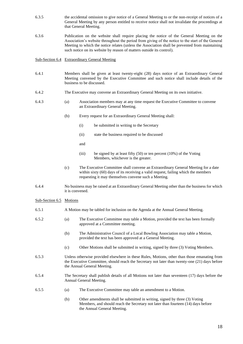- 6.3.5 the accidental omission to give notice of a General Meeting to or the non-receipt of notices of a General Meeting by any person entitled to receive notice shall not invalidate the proceedings at that General Meeting.
- 6.3.6 Publication on the website shall require placing the notice of the General Meeting on the Association's website throughout the period from giving of the notice to the start of the General Meeting to which the notice relates (unless the Association shall be prevented from maintaining such notice on its website by reason of matters outside its control).

Sub-Section 6.4 Extraordinary General Meeting

- 6.4.1 Members shall be given at least twenty-eight (28) days notice of an Extraordinary General Meeting convened by the Executive Committee and such notice shall include details of the business to be discussed.
- 6.4.2 The Executive may convene an Extraordinary General Meeting on its own initiative.
- 6.4.3 (a) Association members may at any time request the Executive Committee to convene an Extraordinary General Meeting.
	- (b) Every request for an Extraordinary General Meeting shall:
		- (i) be submitted in writing to the Secretary
		- (ii) state the business required to be discussed
		- and
		- (iii) be signed by at least fifty  $(50)$  or ten percent  $(10\%)$  of the Voting Members, whichever is the greater.
	- (c) The Executive Committee shall convene an Extraordinary General Meeting for a date within sixty (60) days of its receiving a valid request, failing which the members requesting it may themselves convene such a Meeting.
- 6.4.4 No business may be raised at an Extraordinary General Meeting other than the business for which it is convened.

Sub-Section 6.5 Motions

- 6.5.1 A Motion may be tabled for inclusion on the Agenda at the Annual General Meeting.
- 6.5.2 (a) The Executive Committee may table a Motion, provided the text has been formally approved at a Committee meeting.
	- (b) The Administrative Council of a Local Bowling Association may table a Motion, provided the text has been approved at a General Meeting.
	- (c) Other Motions shall be submitted in writing, signed by three (3) Voting Members.
- 6.5.3 Unless otherwise provided elsewhere in these Rules, Motions, other than those emanating from the Executive Committee, should reach the Secretary not later than twenty-one (21) days before the Annual General Meeting.
- 6.5.4 The Secretary shall publish details of all Motions not later than seventeen (17) days before the Annual General Meeting.
- 6.5.5 (a) The Executive Committee may table an amendment to a Motion.
	- (b) Other amendments shall be submitted in writing, signed by three (3) Voting Members, and should reach the Secretary not later than fourteen (14) days before the Annual General Meeting.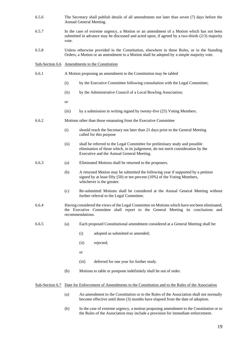- 6.5.6 The Secretary shall publish details of all amendments not later than seven (7) days before the Annual General Meeting.
- 6.5.7 In the case of extreme urgency, a Motion or an amendment of a Motion which has not been submitted in advance may be discussed and acted upon, if agreed by a two-thirds (2/3) majority vote.
- 6.5.8 Unless otherwise provided in the Constitution, elsewhere in these Rules, or in the Standing Orders, a Motion or an amendment to a Motion shall be adopted by a simple majority vote.

#### Sub-Section 6.6 Amendments to the Constitution

- 6.6.1 A Motion proposing an amendment to the Constitution may be tabled
	- (i) by the Executive Committee following consultation with the Legal Committee;
	- (ii) by the Administrative Council of a Local Bowling Association;
	- or
	- (iii) by a submission in writing signed by twenty-five (25) Voting Members.
- 6.6.2 Motions other than those emanating from the Executive Committee
	- (i) should reach the Secretary not later than 21 days prior to the General Meeting called for this purpose
	- (ii) shall be referred to the Legal Committee for preliminary study and possible elimination of those which, in its judgement, do not merit consideration by the Executive and the Annual General Meeting.
- 
- 6.6.3 (a) Eliminated Motions shall be returned to the proposers.
	- (b) A returned Motion may be submitted the following year if supported by a petition signed by at least fifty (50) or ten percent (10%) of the Voting Members, whichever is the greater.
	- (c) Re-submitted Motions shall be considered at the Annual General Meeting without further referral to the Legal Committee.
- 6.6.4 Having considered the views of the Legal Committee on Motions which have not been eliminated, the Executive Committee shall report to the General Meeting its conclusions and recommendations.
- 
- 6.6.5 (a) Each proposed Constitutional amendment considered at a General Meeting shall be:
	- (i) adopted as submitted or amended;
	- (ii) rejected;
	- or
	- (iii) deferred for one year for further study.
	- (b) Motions to table or postpone indefinitely shall be out of order.

#### Sub-Section 6.7 Date for Enforcement of Amendments to the Constitution and to the Rules of the Association

- (a) An amendment to the Constitution or to the Rules of the Association shall not normally become effective until three (3) months have elapsed from the date of adoption.
- (b) In the case of extreme urgency, a motion proposing amendment to the Constitution or to the Rules of the Association may include a provision for immediate enforcement.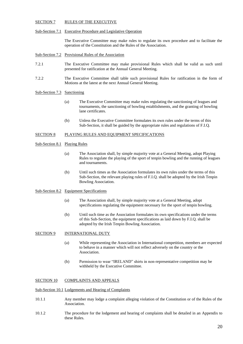#### SECTION 7 RULES OF THE EXECUTIVE

#### Sub-Section 7.1 Executive Procedure and Legislative Operation

The Executive Committee may make rules to regulate its own procedure and to facilitate the operation of the Constitution and the Rules of the Association.

Sub-Section 7.2 Provisional Rules of the Association

- 7.2.1 The Executive Committee may make provisional Rules which shall be valid as such until presented for ratification at the Annual General Meeting.
- 7.2.2 The Executive Committee shall table such provisional Rules for ratification in the form of Motions at the latest at the next Annual General Meeting.

#### Sub-Section 7.3 Sanctioning

- (a) The Executive Committee may make rules regulating the sanctioning of leagues and tournaments, the sanctioning of bowling establishments, and the granting of bowling lane certificates.
- (b) Unless the Executive Committee formulates its own rules under the terms of this Sub-Section, it shall be guided by the appropriate rules and regulations of F.I.Q.

#### SECTION 8 PLAYING RULES AND EQUIPMENT SPECIFICATIONS

Sub-Section 8.1 Playing Rules

- (a) The Association shall, by simple majority vote at a General Meeting, adopt Playing Rules to regulate the playing of the sport of tenpin bowling and the running of leagues and tournaments.
- (b) Until such times as the Association formulates its own rules under the terms of this Sub-Section, the relevant playing rules of F.I.Q. shall be adopted by the Irish Tenpin Bowling Association.

#### Sub-Section 8.2 Equipment Specifications

- (a) The Association shall, by simple majority vote at a General Meeting, adopt specifications regulating the equipment necessary for the sport of tenpin bowling.
- (b) Until such time as the Association formulates its own specifications under the terms of this Sub-Section, the equipment specifications as laid down by F.I.Q. shall be adopted by the Irish Tenpin Bowling Association.

#### SECTION 9 INTERNATIONAL DUTY

- (a) While representing the Association in International competition, members are expected to behave in a manner which will not reflect adversely on the country or the Association.
- (b) Permission to wear "IRELAND" shirts in non-representative competition may be withheld by the Executive Committee.

#### SECTION 10 COMPLAINTS AND APPEALS

#### Sub-Section 10.1 Lodgements and Hearing of Complaints

- 10.1.1 Any member may lodge a complaint alleging violation of the Constitution or of the Rules of the Association.
- 10.1.2 The procedure for the lodgement and hearing of complaints shall be detailed in an Appendix to these Rules.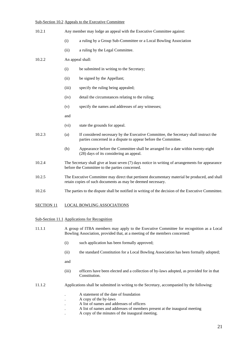#### Sub-Section 10.2 Appeals to the Executive Committee

| 10.2.1 | Any member may lodge an appeal with the Executive Committee against:                                                                                         |                                                                                                                                                        |
|--------|--------------------------------------------------------------------------------------------------------------------------------------------------------------|--------------------------------------------------------------------------------------------------------------------------------------------------------|
|        | (i)                                                                                                                                                          | a ruling by a Group Sub-Committee or a Local Bowling Association                                                                                       |
|        | (ii)                                                                                                                                                         | a ruling by the Legal Committee.                                                                                                                       |
| 10.2.2 |                                                                                                                                                              | An appeal shall:                                                                                                                                       |
|        | (i)                                                                                                                                                          | be submitted in writing to the Secretary;                                                                                                              |
|        | (ii)                                                                                                                                                         | be signed by the Appellant;                                                                                                                            |
|        | (iii)                                                                                                                                                        | specify the ruling being appealed;                                                                                                                     |
|        | (iv)                                                                                                                                                         | detail the circumstances relating to the ruling;                                                                                                       |
|        | (v)                                                                                                                                                          | specify the names and addresses of any witnesses;                                                                                                      |
|        | and                                                                                                                                                          |                                                                                                                                                        |
|        | (vi)                                                                                                                                                         | state the grounds for appeal.                                                                                                                          |
| 10.2.3 | (a)                                                                                                                                                          | If considered necessary by the Executive Committee, the Secretary shall instruct the<br>parties concerned in a dispute to appear before the Committee. |
|        | (b)                                                                                                                                                          | Appearance before the Committee shall be arranged for a date within twenty-eight<br>(28) days of its considering an appeal.                            |
| 10.2.4 | The Secretary shall give at least seven $(7)$ days notice in writing of arrangements for appearance<br>before the Committee to the parties concerned.        |                                                                                                                                                        |
| 10.2.5 | The Executive Committee may direct that pertinent documentary material be produced, and shall<br>retain copies of such documents as may be deemed necessary. |                                                                                                                                                        |
| 10.2.6 |                                                                                                                                                              | The parties to the dispute shall be notified in writing of the decision of the Executive Committee.                                                    |
|        |                                                                                                                                                              |                                                                                                                                                        |

# SECTION 11 LOCAL BOWLING ASSOCIATIONS

#### Sub-Section 11.1 Applications for Recognition

- 11.1.1 A group of ITBA members may apply to the Executive Committee for recognition as a Local Bowling Association, provided that, at a meeting of the members concerned:
	- (i) such application has been formally approved;
	- (ii) the standard Constitution for a Local Bowling Association has been formally adopted;
	- and
	- (iii) officers have been elected and a collection of by-laws adopted, as provided for in that Constitution.

#### 11.1.2 Applications shall be submitted in writing to the Secretary, accompanied by the following:

- . A statement of the date of foundation
- . A copy of the by-laws
- . A list of names and addresses of officers
- . A list of names and addresses of members present at the inaugural meeting
- . A copy of the minutes of the inaugural meeting.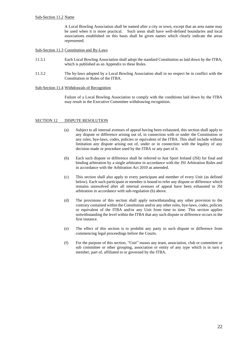A Local Bowling Association shall be named after a city or town, except that an area name may be used when it is more practical. Such areas shall have well-defined boundaries and local associations established on this basis shall be given names which clearly indicate the areas represented.

#### Sub-Section 11.3 Constitution and By-Laws

- 11.3.1 Each Local Bowling Association shall adopt the standard Constitution as laid down by the ITBA, which is published as an Appendix to these Rules.
- 11.3.2 The by-laws adopted by a Local Bowling Association shall in no respect be in conflict with the Constitution or Rules of the ITBA.

#### Sub-Section 11.4 Withdrawals of Recognition

Failure of a Local Bowling Association to comply with the conditions laid down by the ITBA may result in the Executive Committee withdrawing recognition.

#### SECTION 12 DISPUTE RESOLUTION

- (a) Subject to all internal avenues of appeal having been exhausted, this section shall apply to any dispute or difference arising out of, in connection with or under the Constitution or any rules, bye-laws, codes, policies or equivalent of the ITBA. This shall include without limitation any dispute arising out of, under or in connection with the legality of any decision made or procedure used by the ITBA or any part of it.
- (b) Each such dispute or difference shall be referred to Just Sport Ireland (JSI) for final and binding arbitration by a single arbitrator in accordance with the JSI Arbitration Rules and in accordance with the Arbitration Act 2010 as amended.
- (c) This section shall also apply to every participant and member of every Unit (as defined below). Each such participant or member is bound to refer any dispute or difference which remains unresolved after all internal avenues of appeal have been exhausted to JSI arbitration in accordance with sub-regulation (b) above.
- (d) The provisions of this section shall apply notwithstanding any other provision to the contrary contained within the Constitution and/or any other rules, bye-laws, codes, policies or equivalent of the ITBA and/or any Unit from time to time. This section applies notwithstanding the level within the ITBA that any such dispute or difference occurs in the first instance.
- (e) The effect of this section is to prohibit any party to such dispute or difference from commencing legal proceedings before the Courts.
- (f) For the purpose of this section, "Unit" means any team, association, club or committee or sub committee or other grouping, association or entity of any type which is in turn a member, part of, affiliated to or governed by the ITBA.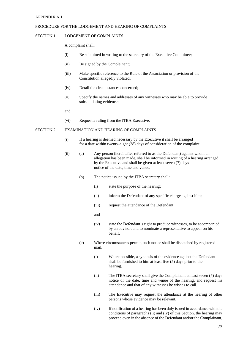#### APPENDIX A.1

#### PROCEDURE FOR THE LODGEMENT AND HEARING OF COMPLAINTS

#### SECTION 1 LODGEMENT OF COMPLAINTS

A complaint shall:

- (i) Be submitted in writing to the secretary of the Executive Committee;
- (ii) Be signed by the Complainant;
- (iii) Make specific reference to the Rule of the Association or provision of the Constitution allegedly violated;
- (iv) Detail the circumstances concerned;
- (v) Specify the names and addresses of any witnesses who may be able to provide substantiating evidence;
- and
- (vi) Request a ruling from the ITBA Executive.

#### SECTION 2 EXAMINATION AND HEARING OF COMPLAINTS

- (i) If a hearing is deemed necessary by the Executive it shall be arranged for a date within twenty-eight (28) days of consideration of the complaint.
- (ii) (a) Any person (hereinafter referred to as the Defendant) against whom an allegation has been made, shall be informed in writing of a hearing arranged by the Executive and shall be given at least seven (7) days notice of the date, time and venue.
	- (b) The notice issued by the ITBA secretary shall:
		- (i) state the purpose of the hearing;
		- (ii) inform the Defendant of any specific charge against him;
		- (iii) request the attendance of the Defendant;
		- and
		- (iv) state the Defendant's right to produce witnesses, to be accompanied by an advisor, and to nominate a representative to appear on his behalf.
	- (c) Where circumstances permit, such notice shall be dispatched by registered mail.
		- (i) Where possible, a synopsis of the evidence against the Defendant shall be furnished to him at least five (5) days prior to the hearing.
		- (ii) The ITBA secretary shall give the Complainant at least seven (7) days notice of the date, time and venue of the hearing, and request his attendance and that of any witnesses he wishes to call.
		- (iii) The Executive may request the attendance at the hearing of other persons whose evidence may be relevant.
		- (iv) If notification of a hearing has been duly issued in accordance with the conditions of paragraphs (ii) and (iv) of this Section, the hearing may proceed even in the absence of the Defendant and/or the Complainant,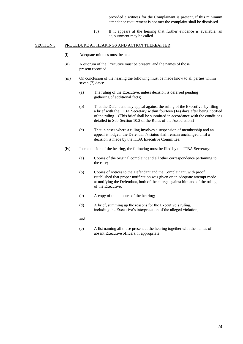provided a witness for the Complainant is present, if this minimum attendance requirement is not met the complaint shall be dismissed.

(v) If it appears at the hearing that further evidence is available, an adjournment may be called.

#### SECTION 3 PROCEDURE AT HEARINGS AND ACTION THEREAFTER

- (i) Adequate minutes must be taken.
- (ii) A quorum of the Executive must be present, and the names of those present recorded.
- (iii) On conclusion of the hearing the following must be made know to all parties within seven (7) days:
	- (a) The ruling of the Executive, unless decision is deferred pending gathering of additional facts;
	- (b) That the Defendant may appeal against the ruling of the Executive by filing a brief with the ITBA Secretary within fourteen (14) days after being notified of the ruling. (This brief shall be submitted in accordance with the conditions detailed in Sub-Section 10.2 of the Rules of the Association.)
	- (c) That in cases where a ruling involves a suspension of membership and an appeal is lodged, the Defendant's status shall remain unchanged until a decision is made by the ITBA Executive Committee.
- (iv) In conclusion of the hearing, the following must be filed by the ITBA Secretary:
	- (a) Copies of the original complaint and all other correspondence pertaining to the case;
	- (b) Copies of notices to the Defendant and the Complainant, with proof established that proper notification was given or an adequate attempt made at notifying the Defendant, both of the charge against him and of the ruling of the Executive;
	- (c) A copy of the minutes of the hearing;
	- (d) A brief, summing up the reasons for the Executive's ruling, including the Executive's interpretation of the alleged violation;
	- and
	- (e) A list naming all those present at the hearing together with the names of absent Executive officers, if appropriate.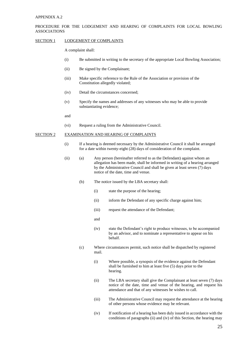#### APPENDIX A.2

#### PROCEDURE FOR THE LODGEMENT AND HEARING OF COMPLAINTS FOR LOCAL BOWLING ASSOCIATIONS

#### SECTION 1 LODGEMENT OF COMPLAINTS

A complaint shall:

- (i) Be submitted in writing to the secretary of the appropriate Local Bowling Association;
- (ii) Be signed by the Complainant;
- (iii) Make specific reference to the Rule of the Association or provision of the Constitution allegedly violated;
- (iv) Detail the circumstances concerned;
- (v) Specify the names and addresses of any witnesses who may be able to provide substantiating evidence;
- and
- (vi) Request a ruling from the Administrative Council.

#### SECTION 2 EXAMINATION AND HEARING OF COMPLAINTS

- (i) If a hearing is deemed necessary by the Administrative Council it shall be arranged for a date within twenty-eight (28) days of consideration of the complaint.
- (ii) (a) Any person (hereinafter referred to as the Defendant) against whom an allegation has been made, shall be informed in writing of a hearing arranged by the Administrative Council and shall be given at least seven (7) days notice of the date, time and venue.
	- (b) The notice issued by the LBA secretary shall:
		- (i) state the purpose of the hearing;
		- (ii) inform the Defendant of any specific charge against him;
		- (iii) request the attendance of the Defendant;
		- and
		- (iv) state the Defendant's right to produce witnesses, to be accompanied by an advisor, and to nominate a representative to appear on his behalf.
	- (c) Where circumstances permit, such notice shall be dispatched by registered mail.
		- (i) Where possible, a synopsis of the evidence against the Defendant shall be furnished to him at least five (5) days prior to the hearing.
		- (ii) The LBA secretary shall give the Complainant at least seven (7) days notice of the date, time and venue of the hearing, and request his attendance and that of any witnesses he wishes to call.
		- (iii) The Administrative Council may request the attendance at the hearing of other persons whose evidence may be relevant.
		- (iv) If notification of a hearing has been duly issued in accordance with the conditions of paragraphs (ii) and (iv) of this Section, the hearing may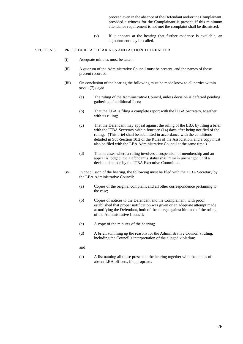proceed even in the absence of the Defendant and/or the Complainant, provided a witness for the Complainant is present, if this minimum attendance requirement is not met the complaint shall be dismissed.

(v) If it appears at the hearing that further evidence is available, an adjournment may be called.

#### SECTION 3 PROCEDURE AT HEARINGS AND ACTION THEREAFTER

- (i) Adequate minutes must be taken.
- (ii) A quorum of the Administrative Council must be present, and the names of those present recorded.
- (iii) On conclusion of the hearing the following must be made know to all parties within seven (7) days:
	- (a) The ruling of the Administrative Council, unless decision is deferred pending gathering of additional facts;
	- (b) That the LBA is filing a complete report with the ITBA Secretary, together with its ruling;
	- (c) That the Defendant may appeal against the ruling of the LBA by filing a brief with the ITBA Secretary within fourteen (14) days after being notified of the ruling. (This brief shall be submitted in accordance with the conditions detailed in Sub-Section 10.2 of the Rules of the Association, and a copy must also be filed with the LBA Administrative Council at the same time.)
	- (d) That in cases where a ruling involves a suspension of membership and an appeal is lodged, the Defendant's status shall remain unchanged until a decision is made by the ITBA Executive Committee.
- (iv) In conclusion of the hearing, the following must be filed with the ITBA Secretary by the LBA Administrative Council:
	- (a) Copies of the original complaint and all other correspondence pertaining to the case;
	- (b) Copies of notices to the Defendant and the Complainant, with proof established that proper notification was given or an adequate attempt made at notifying the Defendant, both of the charge against him and of the ruling of the Administrative Council;
	- (c) A copy of the minutes of the hearing;
	- (d) A brief, summing up the reasons for the Administrative Council's ruling, including the Council's interpretation of the alleged violation;
	- and
	- (e) A list naming all those present at the hearing together with the names of absent LBA officers, if appropriate.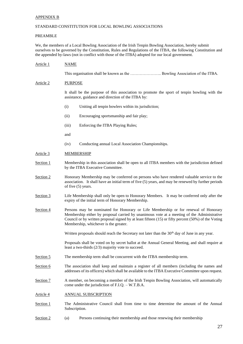#### APPENDIX B

#### STANDARD CONSTITUTION FOR LOCAL BOWLING ASSOCIATIONS

#### PREAMBLE

We, the members of a Local Bowling Association of the Irish Tenpin Bowling Association, hereby submit ourselves to be governed by the Constitution, Rules and Regulations of the ITBA, the following Constitution and the appended by-laws (not in conflict with those of the ITBA) adopted for our local government.

Article 1 NAME This organisation shall be known as the ………………….. Bowling Association of the ITBA. Article 2 PURPOSE It shall be the purpose of this association to promote the sport of tenpin bowling with the assistance, guidance and direction of the ITBA by: (i) Uniting all tenpin bowlers within its jurisdiction; (ii) Encouraging sportsmanship and fair play; (iii) Enforcing the ITBA Playing Rules; and (iv) Conducting annual Local Association Championships. Article 3 MEMBERSHIP Section 1 Membership in this association shall be open to all ITBA members with the jurisdiction defined by the ITBA Executive Committee. Section 2 Honorary Membership may be conferred on persons who have rendered valuable service to the association. It shall have an initial term of five (5) years, and may be renewed by further periods of five (5) years. Section 3 Life Membership shall only be open to Honorary Members. It may be conferred only after the expiry of the initial term of Honorary Membership. Section 4 Persons may be nominated for Honorary or Life Membership or for renewal of Honorary Membership either by proposal carried by unanimous vote at a meeting of the Administrative Council or by written proposal signed by at least fifteen (15) or fifty percent (50%) of the Voting Membership, whichever is the greater. Written proposals should reach the Secretary not later than the 30<sup>th</sup> day of June in any year. Proposals shall be voted on by secret ballot at the Annual General Meeting, and shall require at least a two-thirds (2/3) majority vote to succeed. Section 5 The membership term shall be concurrent with the ITBA membership term. Section 6 The association shall keep and maintain a register of all members (including the names and addresses of its officers) which shall be available to the ITBA Executive Committee upon request. Section 7 A member, on becoming a member of the Irish Tenpin Bowling Association, will automatically come under the jurisdiction of F.I.Q. – W.T.B.A. Article 4 ANNUAL SUBSCRIPTION Section 1 The Administrative Council shall from time to time determine the amount of the Annual Subscription. Section 2 (a) Persons continuing their membership and those renewing their membership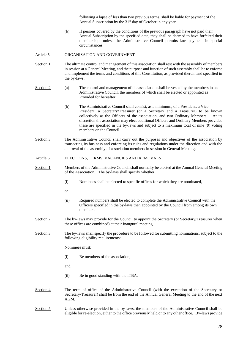following a lapse of less than two previous terms, shall be liable for payment of the Annual Subscription by the 31<sup>st</sup> day of October in any year.

(b) If persons covered by the conditions of the previous paragraph have not paid their Annual Subscription by the specified date, they shall be deemed to have forfeited their membership, unless the Administrative Council permits late payment in special circumstances.

#### Article 5 ORGANISATION AND GOVERNMENT

- Section 1 The ultimate control and management of this association shall rest with the assembly of members in session at a General Meeting, and the purpose and function of such assembly shall be to enforce and implement the terms and conditions of this Constitution, as provided therein and specified in the by-laws.
- Section 2 (a) The control and management of the association shall be vested by the members in an Administrative Council, the members of which shall be elected or appointed as Provided for hereafter.
	- (b) The Administrative Council shall consist, as a minimum, of a President, a Vice-President, a Secretary/Treasurer (or a Secretary and a Treasurer) to be known collectively as the Officers of the association, and two Ordinary Members. At its discretion the association may elect additional Officers and Ordinary Members provided these are specified in the by-laws and subject to a maximum total of nine (9) voting members on the Council.
- Section 3 The Administrative Council shall carry out the purposes and objectives of the association by transacting its business and enforcing its rules and regulations under the direction and with the approval of the assembly of association members in session in General Meeting.

#### Article 6 ELECTIONS, TERMS, VACANCIES AND REMOVALS

- Section 1 Members of the Administrative Council shall normally be elected at the Annual General Meeting of the Association. The by-laws shall specify whether
	- (i) Nominees shall be elected to specific offices for which they are nominated,
	- or
	- (ii) Required numbers shall be elected to complete the Administrative Council with the Officers specified in the by-laws then appointed by the Council from among its own members.
- Section 2 The by-laws may provide for the Council to appoint the Secretary (or Secretary/Treasurer when these offices are combined) at their inaugural meeting.
- Section 3 The by-laws shall specify the procedure to be followed for submitting nominations, subject to the following eligibility requirements:

Nominees must:

(i) Be members of the association;

and

- (ii) Be in good standing with the ITBA.
- Section 4 The term of office of the Administrative Council (with the exception of the Secretary or Secretary/Treasurer) shall be from the end of the Annual General Meeting to the end of the next AGM.
- Section 5 Unless otherwise provided in the by-laws, the members of the Administrative Council shall be eligible for re-election, either to the office previously held or to any other office. By-laws provide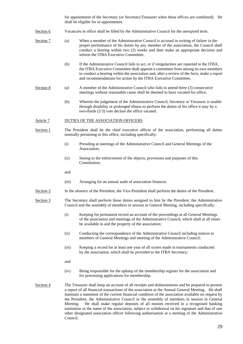for appointment of the Secretary (or Secretary/Treasurer when these offices are combined). He shall be eligible for re-appointment.

- Section 6 Vacancies in office shall be filled by the Administrative Council for the unexpired term.
- Section 7 (a) When a member of the Administrative Council is accused in writing of failure in the proper performance of his duties by any member of the association, the Council shall conduct a hearing within two (2) weeks and then make an appropriate decision and inform the ITBA Executive Committee.
	- (b) If the Administrative Council fails to act, or if irregularities are reported to the ITBA, the ITBA Executive Committee shall appoint a committee from among its own members to conduct a hearing within the association and, after a review of the facts, make a report and recommendations for action by the ITBA Executive Committee.
- Section 8 (a) A member of the Administrative Council who fails to attend three (3) consecutive meetings without reasonable cause shall be deemed to have vacated his office.
	- (b) Wherein the judgement of the Administrative Council, Secretary or Treasurer is unable through disability or prolonged illness to perform the duties of his office it may by a two-thirds (2/3) vote declare the office vacated.

#### Article 7 DUTIES OF THE ASSOCIATION OFFICERS

- Section 1 The President shall be the chief executive officer of the association, performing all duties normally pertaining to this office, including specifically:
	- (i) Presiding at meetings of the Administrative Council and General Meetings of the Association;
	- (ii) Seeing to the enforcement of the objects, provisions and purposes of this Constitution;
	- and
	- (iii) Arranging for an annual audit of association finances.
- Section 2 In the absence of the President, the Vice-President shall perform the duties of the President.
- Section 3 The Secretary shall perform those duties assigned to him by the President, the Administrative Council and the assembly of members in session in General Meeting, including specifically:
	- (i) Keeping for permanent record an account of the proceedings at all General Meetings of the association and meetings of the Administrative Council, which shall at all times be available to and the property of the association;
	- (ii) Conducting the correspondence of the Administrative Council including notices to members of General Meetings and meeting of the Administrative Council;
	- (iii) Keeping a record for at least one year of all scores made in tournaments conducted by the association, which shall be provided to the ITBA Secretary;
	- and
	- (iv) Being responsible for the upkeep of the membership register for the association and for processing applications for membership.
- Section 4 The Treasurer shall keep an account of all receipts and disbursements and be prepared to present a report of all financial transactions of the association at the Annual General Meeting. He shall maintain a statement of the current financial condition of the association available on request by the President, the Administrative Council or the assembly of members in session in General Meeting. He shall make regular deposits of all monies received in a recognised banking institution in the name of the association, subject to withdrawal on his signature and that of one other designated association officer following authorisation at a meeting of the Administrative Council.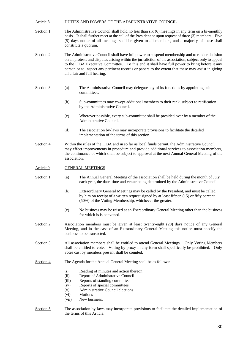#### Article 8 DUTIES AND POWERS OF THE ADMINISTRATIVE COUNCIL

- Section 1 The Administrative Council shall hold no less than six (6) meetings in any term on a bi-monthly basis. It shall further meet at the call of the President or upon request of three (3) members. Five (5) days notice of all meetings shall be given to all members, and a majority of these shall constitute a quorum.
- Section 2 The Administrative Council shall have full power to suspend membership and to render decision on all protests and disputes arising within the jurisdiction of the association, subject only to appeal to the ITBA Executive Committee. To this end it shall have full power to bring before it any person or to inspect any pertinent records or papers to the extent that these may assist in giving all a fair and full hearing.
- Section 3 (a) The Administrative Council may delegate any of its functions by appointing subcommittees.
	- (b) Sub-committees may co-opt additional members to their rank, subject to ratification by the Administrative Council.
	- (c) Wherever possible, every sub-committee shall be presided over by a member of the Administrative Council.
	- (d) The association by-laws may incorporate provisions to facilitate the detailed implementation of the terms of this section.
- Section 4 Within the rules of the ITBA and in so far as local funds permit, the Administrative Council may effect improvements in procedure and provide additional services to association members, the continuance of which shall be subject to approval at the next Annual General Meeting of the association.

#### Article 9 GENERAL MEETINGS

- Section 1 (a) The Annual General Meeting of the association shall be held during the month of July each year, the date, time and venue being determined by the Administrative Council.
	- (b) Extraordinary General Meetings may be called by the President, and must be called by him on receipt of a written request signed by at least fifteen (15) or fifty percent (50%) of the Voting Membership, whichever the greater.
	- (c) No business may be raised at an Extraordinary General Meeting other than the business for which is is convened.
- Section 2 **Association members must be given at least twenty-eight (28) days notice of any General** Meeting, and in the case of an Extraordinary General Meeting this notice must specify the business to be transacted.
- Section 3 All association members shall be entitled to attend General Meetings. Only Voting Members shall be entitled to vote. Voting by proxy in any form shall specifically be prohibited. Only votes cast by members present shall be counted.
- Section 4 The Agenda for the Annual General Meeting shall be as follows:
	- (i) Reading of minutes and action thereon
	- (ii) Report of Administrative Council
	- (iii) Reports of standing committee
	- (iv) Reports of special committees
	- (v) Administrative Council elections
	- (vi) Motions
	- (vii) New business.
- Section 5 The association by-laws may incorporate provisions to facilitate the detailed implementation of the terms of this Article.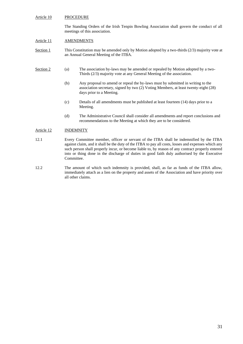#### Article 10 PROCEDURE

The Standing Orders of the Irish Tenpin Bowling Association shall govern the conduct of all meetings of this association.

#### Article 11 AMENDMENTS

Section 1 This Constitution may be amended only by Motion adopted by a two-thirds (2/3) majority vote at an Annual General Meeting of the ITBA.

- Section 2 (a) The association by-laws may be amended or repealed by Motion adopted by a two-Thirds (2/3) majority vote at any General Meeting of the association.
	- (b) Any proposal to amend or repeal the by-laws must by submitted in writing to the association secretary, signed by two (2) Voting Members, at least twenty-eight (28) days prior to a Meeting.
	- (c) Details of all amendments must be published at least fourteen (14) days prior to a Meeting.
	- (d) The Administrative Council shall consider all amendments and report conclusions and recommendations to the Meeting at which they are to be considered.

#### Article 12 INDEMNITY

- 12.1 Every Committee member, officer or servant of the ITBA shall be indemnified by the ITBA against claim, and it shall be the duty of the ITBA to pay all costs, losses and expenses which any such person shall properly incur, or become liable to, by reason of any contract properly entered into or thing done in the discharge of duties in good faith duly authorised by the Executive Committee.
- 12.2 The amount of which such indemnity is provided, shall, as far as funds of the ITBA allow, immediately attach as a lien on the property and assets of the Association and have priority over all other claims.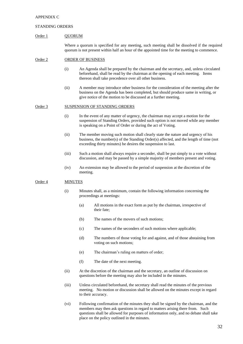#### APPENDIX C

#### STANDING ORDERS

#### Order 1 QUORUM

Where a quorum is specified for any meeting, such meeting shall be dissolved if the required quorum is not present within half an hour of the appointed time for the meeting to commence.

#### Order 2 ORDER OF BUSINESS

- (i) An Agenda shall be prepared by the chairman and the secretary, and, unless circulated beforehand, shall be read by the chairman at the opening of each meeting. Items thereon shall take precedence over all other business.
- (ii) A member may introduce other business for the consideration of the meeting after the business on the Agenda has been completed, but should produce same in writing, or give notice of the motion to be discussed at a further meeting.

#### Order 3 SUSPENSION OF STANDING ORDERS

- (i) In the event of any matter of urgency, the chairman may accept a motion for the suspension of Standing Orders, provided such option is not moved while any member is speaking on a Point of Order or during the act of Voting.
- (ii) The member moving such motion shall clearly state the nature and urgency of his business, the number(s) of the Standing Order(s) affected, and the length of time (not exceeding thirty minutes) he desires the suspension to last.
- (iii) Such a motion shall always require a seconder, shall be put simply to a vote without discussion, and may be passed by a simple majority of members present and voting.
- (iv) An extension may be allowed to the period of suspension at the discretion of the meeting.

#### Order 4 MINUTES

- (i) Minutes shall, as a minimum, contain the following information concerning the proceedings at meetings:
	- (a) All motions in the exact form as put by the chairman, irrespective of their fate;
	- (b) The names of the movers of such motions;
	- (c) The names of the seconders of such motions where applicable;
	- (d) The numbers of those voting for and against, and of those abstaining from voting on such motions;
	- (e) The chairman's ruling on matters of order;
	- (f) The date of the next meeting.
- (ii) At the discretion of the chairman and the secretary, an outline of discussion on questions before the meeting may also be included in the minutes.
- (iii) Unless circulated beforehand, the secretary shall read the minutes of the previous meeting. No motion or discussion shall be allowed on the minutes except in regard to their accuracy.
- (vi) Following confirmation of the minutes they shall be signed by the chairman, and the members may then ask questions in regard to matters arising there from. Such questions shall be allowed for purposes of information only, and no debate shall take place on the policy outlined in the minutes.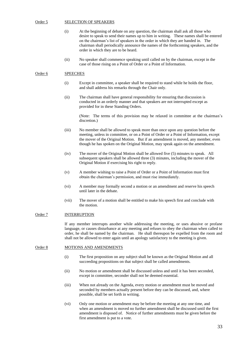#### Order 5 SELECTION OF SPEAKERS

- (i) At the beginning of debate on any question, the chairman shall ask all those who desire to speak to send their names up to him in writing. These names shall be entered on the chairman's list of speakers in the order in which they are handed in. The chairman shall periodically announce the names of the forthcoming speakers, and the order in which they are to be heard.
- (ii) No speaker shall commence speaking until called on by the chairman, except in the case of those rising on a Point of Order or a Point of Information.

#### Order 6 SPEECHES

- (i) Except in committee, a speaker shall be required to stand while he holds the floor, and shall address his remarks through the Chair only.
- (ii) The chairman shall have general responsibility for ensuring that discussion is conducted in an orderly manner and that speakers are not interrupted except as provided for in these Standing Orders.

(Note: The terms of this provision may be relaxed in committee at the chairman's discretion.)

- (iii) No member shall be allowed to speak more than once upon any question before the meeting, unless in committee, or on a Point of Order or a Point of Information, except the mover of the Original Motion. But if an amendment is moved, any member, even though he has spoken on the Original Motion, may speak again on the amendment.
- (iv) The mover of the Original Motion shall be allowed five (5) minutes to speak. All subsequent speakers shall be allowed three (3) minutes, including the mover of the Original Motion if exercising his right to reply.
- (v) A member wishing to raise a Point of Order or a Point of Information must first obtain the chairman's permission, and must rise immediately.
- (vi) A member may formally second a motion or an amendment and reserve his speech until later in the debate.
- (vii) The mover of a motion shall be entitled to make his speech first and conclude with the motion.

#### Order 7 INTERRUPTION

If any member interrupts another while addressing the meeting, or uses abusive or profane language, or causes disturbance at any meeting and refuses to obey the chairman when called to order, he shall be named by the chairman. He shall thereupon be expelled from the room and shall not be allowed to enter again until an apology satisfactory to the meeting is given.

#### Order 8 MOTIONS AND AMENDMENTS

- (i) The first proposition on any subject shall be known as the Original Motion and all succeeding propositions on that subject shall be called amendments.
- (ii) No motion or amendment shall be discussed unless and until it has been seconded, except in committee, seconder shall not be deemed essential.
- (iii) When not already on the Agenda, every motion or amendment must be moved and seconded by members actually present before they can be discussed, and, where possible, shall be set forth in writing.
- (vi) Only one motion or amendment may be before the meeting at any one time, and when an amendment is moved no further amendment shall be discussed until the first amendment is disposed of. Notice of further amendments must be given before the first amendment is put to a vote.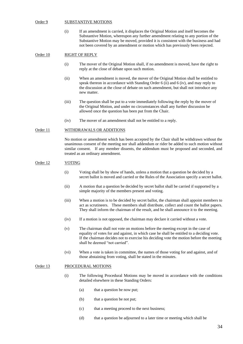#### Order 9 SUBSTANTIVE MOTIONS

(i) If an amendment is carried, it displaces the Original Motion and itself becomes the Substantive Motion, whereupon any further amendment relating to any portion of the Substantive Motion may be moved, provided it is consistent with the business and had not been covered by an amendment or motion which has previously been rejected.

#### Order 10 RIGHT OF REPLY

- (i) The mover of the Original Motion shall, if no amendment is moved, have the right to reply at the close of debate upon such motion.
- (ii) When an amendment is moved, the mover of the Original Motion shall be entitled to speak thereon in accordance with Standing Order 6 (ii) and 6 (iv), and may reply to the discussion at the close of debate on such amendment, but shall not introduce any new matter.
- (iii) The question shall be put to a vote immediately following the reply by the mover of the Original Motion, and under no circumstances shall any further discussion be allowed once the question has been put from the Chair.
- (iv) The mover of an amendment shall not be entitled to a reply.

#### Order 11 WITHDRAWALS OR ADDITIONS

No motion or amendment which has been accepted by the Chair shall be withdrawn without the unanimous consent of the meeting nor shall addendum or rider be added to such motion without similar consent. If any member dissents, the addendum must be proposed and seconded, and treated as an ordinary amendment.

#### Order 12 VOTING

- (i) Voting shall be by show of hands, unless a motion that a question be decided by a secret ballot is moved and carried or the Rules of the Association specify a secret ballot.
- (ii) A motion that a question be decided by secret ballot shall be carried if supported by a simple majority of the members present and voting.
- (iii) When a motion is to be decided by secret ballot, the chairman shall appoint members to act as scrutineers. These members shall distribute, collect and count the ballot papers. They shall inform the chairman of the result, and he shall announce it to the meeting.
- (iv) If a motion is not opposed, the chairman may declare it carried without a vote.
- (v) The chairman shall not vote on motions before the meeting except in the case of equality of votes for and against, in which case he shall be entitled to a deciding vote. If the chairman decides not to exercise his deciding vote the motion before the meeting shall be deemed "not carried".
- (vi) When a vote is taken in committee, the names of those voting for and against, and of those abstaining from voting, shall be stated in the minutes.

#### Order 13 PROCEDURAL MOTIONS

- (i) The following Procedural Motions may be moved in accordance with the conditions detailed elsewhere in these Standing Orders:
	- (a) that a question be now put;
	- (b) that a question be not put;
	- (c) that a meeting proceed to the next business;
	- (d) that a question be adjourned to a later time or meeting which shall be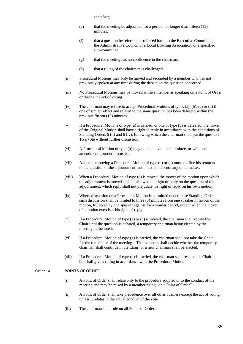specified;

- (e) that the meeting be adjourned for a period not longer than fifteen (15) minutes;
- (f) that a question be referred, or referred back, to the Executive Committee, the Administrative Council of a Local Bowling Association, or a specified sub-committee;
- (g) that the meeting has no confidence in the chairman;
- (h) that a ruling of the chairman is challenged.
- (ii) Procedural Motions may only be moved and seconded by a member who has not previously spoken at any time during the debate on the question concerned.
- (iii) No Procedural Motions may be moved while a member is speaking on a Point of Order or during the act of voting.
- (iv) The chairman may refuse to accept Procedural Motions of types (a), (b), (c) or (d) if one of similar effect and related to the same question has been defeated within the previous fifteen (15) minutes.
- (v) If a Procedural Motions of type (a) is carried, or one of type (b) is defeated, the mover of the Original Motion shall have a right to reply in accordance with the conditions of Standing Orders 6 (ii) and 6 (iv), following which the chairman shall put the question To a vote without further discussion.
- (vi) A Procedural Motion of type (b) may not be moved in committee, or while an amendment is under discussion.
- (vii) A member moving a Procedural Motion of type (d) or (e) must confine his remarks to the question of the adjournment, and must not discuss any other matter.
- (viii) When a Procedural Motion of type (d) is moved, the mover of the motion upon which the adjournment is moved shall be allowed the right of reply on the question of the adjournment, which reply shall not prejudice his right of reply on his own motion.
- (ix) Where discussion on a Procedural Motion is permitted under these Standing Orders, such discussion shall be limited to three (3) minutes from one speaker in favour of the motion, followed by one speaker against for a similar period, except when the mover of a motion exercises his right of reply.
- (x) If a Procedural Motion of type (g) or (h) is moved, the chairman shall vacate the Chair until the question is debated, a temporary chairman being elected by the meeting in the interim.
- (xi) If a Procedural Motion of type (g) is carried, the chairman shall not take the Chair for the remainder of the meeting. The members shall decide whether the temporary chairman shall continue in the Chair, or a new chairman shall be elected.
- (xii) If a Procedural Motion of type (h) is carried, the chairman shall resume his Chair, but shall give a ruling in accordance with the Procedural Motion.

#### Order 14 POINTS OF ORDER

- (i) A Point of Order shall relate only to the procedure adopted or to the conduct of the meeting and may be raised by a member rising "on a Point of Order".
- (ii) A Point of Order shall take precedence over all other business except the act of voting, unless it relates to the actual conduct of the vote.
- (iii) The chairman shall rule on all Points of Order.